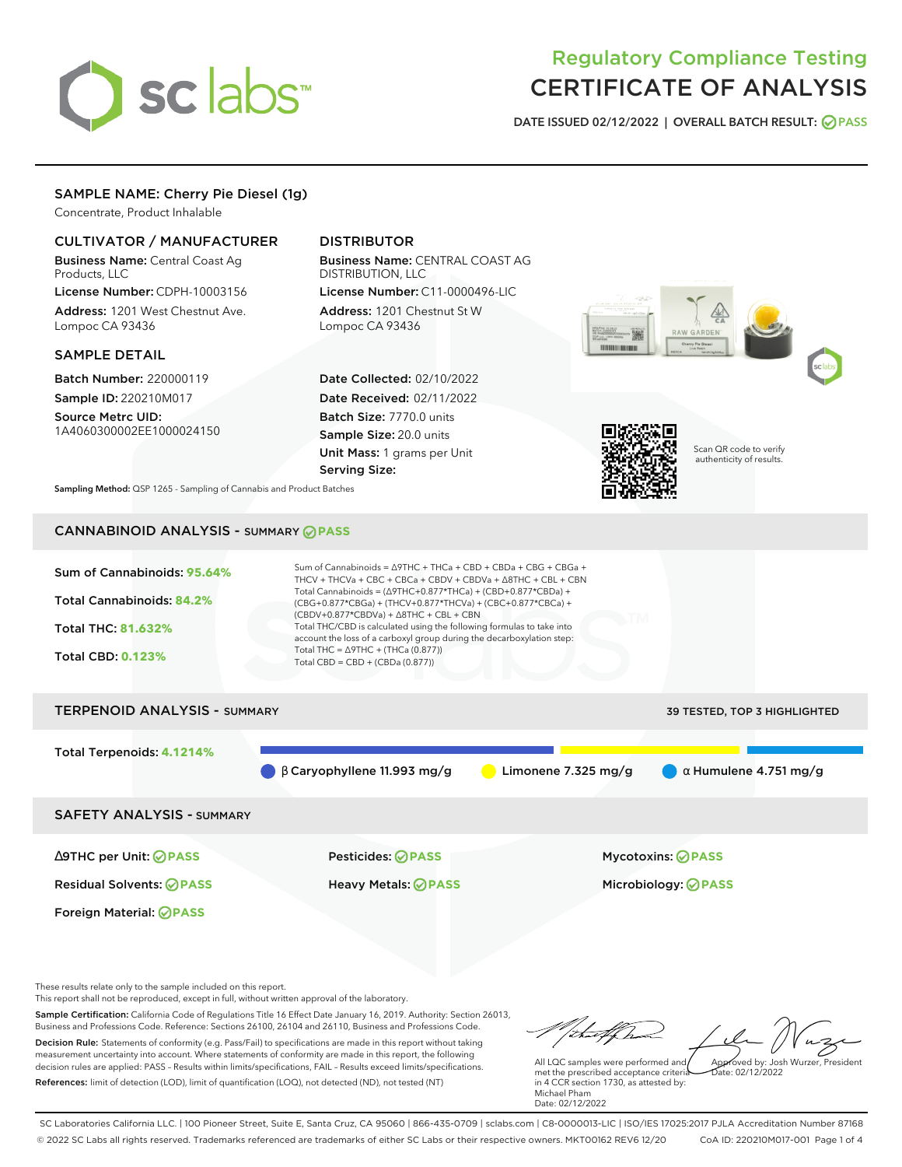# sclabs

# Regulatory Compliance Testing CERTIFICATE OF ANALYSIS

**DATE ISSUED 02/12/2022 | OVERALL BATCH RESULT: PASS**

#### SAMPLE NAME: Cherry Pie Diesel (1g)

Concentrate, Product Inhalable

#### CULTIVATOR / MANUFACTURER

Business Name: Central Coast Ag Products, LLC

License Number: CDPH-10003156 Address: 1201 West Chestnut Ave. Lompoc CA 93436

#### SAMPLE DETAIL

Batch Number: 220000119 Sample ID: 220210M017

Source Metrc UID: 1A4060300002EE1000024150

### DISTRIBUTOR

Business Name: CENTRAL COAST AG DISTRIBUTION, LLC License Number: C11-0000496-LIC

Address: 1201 Chestnut St W Lompoc CA 93436

Date Collected: 02/10/2022 Date Received: 02/11/2022 Batch Size: 7770.0 units Sample Size: 20.0 units Unit Mass: 1 grams per Unit Serving Size:





Scan QR code to verify authenticity of results.

**Sampling Method:** QSP 1265 - Sampling of Cannabis and Product Batches

# CANNABINOID ANALYSIS - SUMMARY **PASS**



These results relate only to the sample included on this report.

This report shall not be reproduced, except in full, without written approval of the laboratory.

Sample Certification: California Code of Regulations Title 16 Effect Date January 16, 2019. Authority: Section 26013, Business and Professions Code. Reference: Sections 26100, 26104 and 26110, Business and Professions Code. Decision Rule: Statements of conformity (e.g. Pass/Fail) to specifications are made in this report without taking measurement uncertainty into account. Where statements of conformity are made in this report, the following decision rules are applied: PASS – Results within limits/specifications, FAIL – Results exceed limits/specifications.

References: limit of detection (LOD), limit of quantification (LOQ), not detected (ND), not tested (NT)

tu#f h Approved by: Josh Wurzer, President

 $ate: 02/12/2022$ 

All LQC samples were performed and met the prescribed acceptance criteria in 4 CCR section 1730, as attested by: Michael Pham Date: 02/12/2022

SC Laboratories California LLC. | 100 Pioneer Street, Suite E, Santa Cruz, CA 95060 | 866-435-0709 | sclabs.com | C8-0000013-LIC | ISO/IES 17025:2017 PJLA Accreditation Number 87168 © 2022 SC Labs all rights reserved. Trademarks referenced are trademarks of either SC Labs or their respective owners. MKT00162 REV6 12/20 CoA ID: 220210M017-001 Page 1 of 4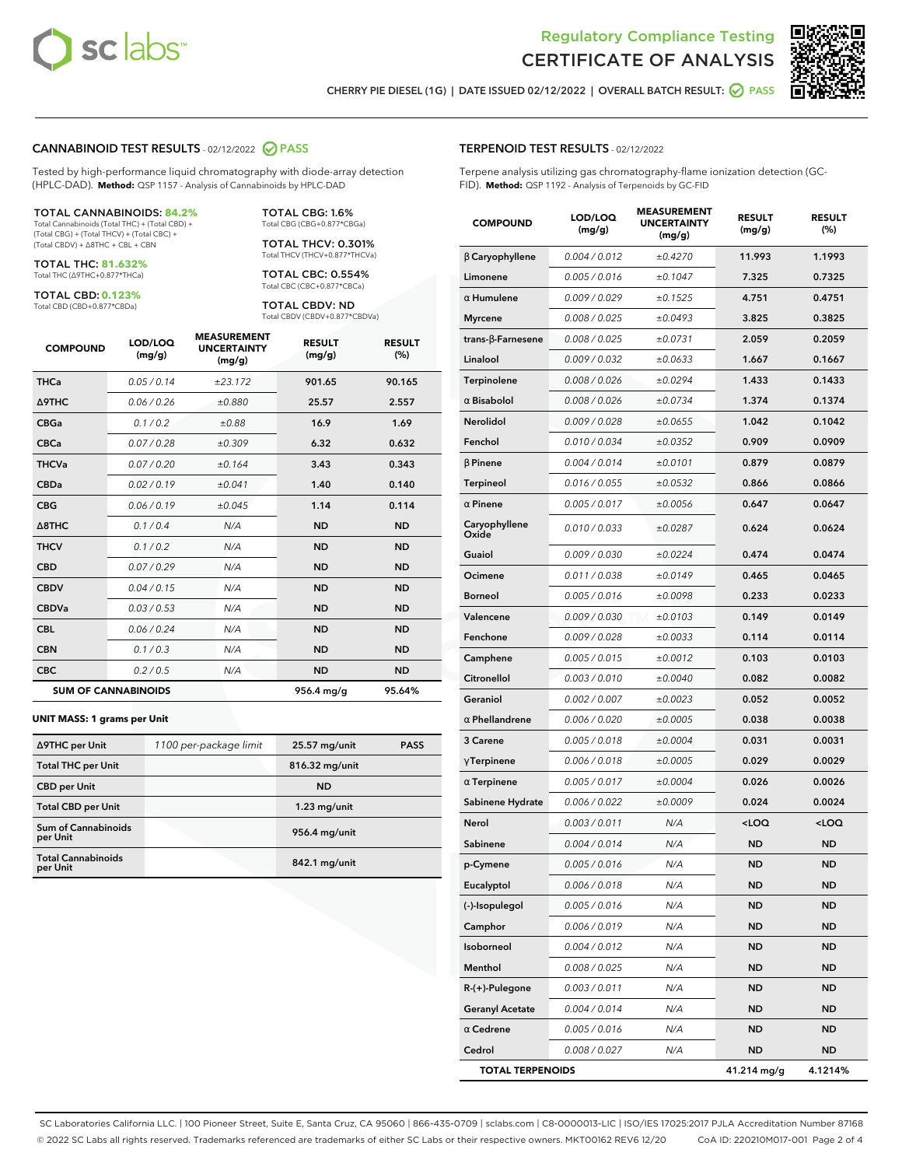



**CHERRY PIE DIESEL (1G) | DATE ISSUED 02/12/2022 | OVERALL BATCH RESULT: PASS**

#### **CANNABINOID TEST RESULTS** - 02/12/2022 **PASS**

Tested by high-performance liquid chromatography with diode-array detection (HPLC-DAD). **Method:** QSP 1157 - Analysis of Cannabinoids by HPLC-DAD

#### TOTAL CANNABINOIDS: **84.2%**

Total Cannabinoids (Total THC) + (Total CBD) + (Total CBG) + (Total THCV) + (Total CBC) + (Total CBDV) + ∆8THC + CBL + CBN

TOTAL THC: **81.632%** Total THC (∆9THC+0.877\*THCa)

TOTAL CBD: **0.123%**

Total CBD (CBD+0.877\*CBDa)

TOTAL CBG: 1.6% Total CBG (CBG+0.877\*CBGa)

TOTAL THCV: 0.301% Total THCV (THCV+0.877\*THCVa)

TOTAL CBC: 0.554% Total CBC (CBC+0.877\*CBCa)

TOTAL CBDV: ND Total CBDV (CBDV+0.877\*CBDVa)

| <b>COMPOUND</b>  | LOD/LOQ<br>(mg/g)          | <b>MEASUREMENT</b><br><b>UNCERTAINTY</b><br>(mg/g) | <b>RESULT</b><br>(mg/g) | <b>RESULT</b><br>(%) |
|------------------|----------------------------|----------------------------------------------------|-------------------------|----------------------|
| <b>THCa</b>      | 0.05/0.14                  | ±23.172                                            | 901.65                  | 90.165               |
| <b>A9THC</b>     | 0.06 / 0.26                | ±0.880                                             | 25.57                   | 2.557                |
| <b>CBGa</b>      | 0.1 / 0.2                  | ±0.88                                              | 16.9                    | 1.69                 |
| <b>CBCa</b>      | 0.07 / 0.28                | ±0.309                                             | 6.32                    | 0.632                |
| <b>THCVa</b>     | 0.07/0.20                  | ±0.164                                             | 3.43                    | 0.343                |
| <b>CBDa</b>      | 0.02/0.19                  | ±0.041                                             | 1.40                    | 0.140                |
| <b>CBG</b>       | 0.06/0.19                  | ±0.045                                             | 1.14                    | 0.114                |
| $\triangle$ 8THC | 0.1 / 0.4                  | N/A                                                | <b>ND</b>               | <b>ND</b>            |
| <b>THCV</b>      | 0.1/0.2                    | N/A                                                | <b>ND</b>               | <b>ND</b>            |
| <b>CBD</b>       | 0.07/0.29                  | N/A                                                | <b>ND</b>               | <b>ND</b>            |
| <b>CBDV</b>      | 0.04 / 0.15                | N/A                                                | <b>ND</b>               | <b>ND</b>            |
| <b>CBDVa</b>     | 0.03/0.53                  | N/A                                                | <b>ND</b>               | <b>ND</b>            |
| <b>CBL</b>       | 0.06 / 0.24                | N/A                                                | <b>ND</b>               | <b>ND</b>            |
| <b>CBN</b>       | 0.1/0.3                    | N/A                                                | <b>ND</b>               | <b>ND</b>            |
| <b>CBC</b>       | 0.2 / 0.5                  | N/A                                                | <b>ND</b>               | <b>ND</b>            |
|                  | <b>SUM OF CANNABINOIDS</b> |                                                    | 956.4 mg/g              | 95.64%               |

#### **UNIT MASS: 1 grams per Unit**

| ∆9THC per Unit                         | 1100 per-package limit | 25.57 mg/unit  | <b>PASS</b> |
|----------------------------------------|------------------------|----------------|-------------|
| <b>Total THC per Unit</b>              |                        | 816.32 mg/unit |             |
| <b>CBD per Unit</b>                    |                        | <b>ND</b>      |             |
| <b>Total CBD per Unit</b>              |                        | $1.23$ mg/unit |             |
| <b>Sum of Cannabinoids</b><br>per Unit |                        | 956.4 mg/unit  |             |
| <b>Total Cannabinoids</b><br>per Unit  |                        | 842.1 mg/unit  |             |

| <b>COMPOUND</b>          | LOD/LOQ<br>(mg/g) | <b>MEASUREMENT</b><br>UNCERTAINTY<br>(mg/g) | <b>RESULT</b><br>(mg/g)                         | <b>RESULT</b><br>(% ) |
|--------------------------|-------------------|---------------------------------------------|-------------------------------------------------|-----------------------|
| $\beta$ Caryophyllene    | 0.004 / 0.012     | ±0.4270                                     | 11.993                                          | 1.1993                |
| Limonene                 | 0.005 / 0.016     | ±0.1047                                     | 7.325                                           | 0.7325                |
| $\alpha$ Humulene        | 0.009 / 0.029     | ±0.1525                                     | 4.751                                           | 0.4751                |
| <b>Myrcene</b>           | 0.008 / 0.025     | ±0.0493                                     | 3.825                                           | 0.3825                |
| $trans-\beta$ -Farnesene | 0.008 / 0.025     | ±0.0731                                     | 2.059                                           | 0.2059                |
| Linalool                 | 0.009 / 0.032     | ±0.0633                                     | 1.667                                           | 0.1667                |
| Terpinolene              | 0.008 / 0.026     | ±0.0294                                     | 1.433                                           | 0.1433                |
| $\alpha$ Bisabolol       | 0.008 / 0.026     | ±0.0734                                     | 1.374                                           | 0.1374                |
| Nerolidol                | 0.009 / 0.028     | ±0.0655                                     | 1.042                                           | 0.1042                |
| Fenchol                  | 0.010 / 0.034     | ±0.0352                                     | 0.909                                           | 0.0909                |
| $\beta$ Pinene           | 0.004 / 0.014     | ±0.0101                                     | 0.879                                           | 0.0879                |
| Terpineol                | 0.016 / 0.055     | ±0.0532                                     | 0.866                                           | 0.0866                |
| $\alpha$ Pinene          | 0.005 / 0.017     | ±0.0056                                     | 0.647                                           | 0.0647                |
| Caryophyllene<br>Oxide   | 0.010 / 0.033     | ±0.0287                                     | 0.624                                           | 0.0624                |
| Guaiol                   | 0.009 / 0.030     | ±0.0224                                     | 0.474                                           | 0.0474                |
| Ocimene                  | 0.011 / 0.038     | ±0.0149                                     | 0.465                                           | 0.0465                |
| Borneol                  | 0.005 / 0.016     | ±0.0098                                     | 0.233                                           | 0.0233                |
| Valencene                | 0.009 / 0.030     | ±0.0103                                     | 0.149                                           | 0.0149                |
| Fenchone                 | 0.009 / 0.028     | ±0.0033                                     | 0.114                                           | 0.0114                |
| Camphene                 | 0.005 / 0.015     | ±0.0012                                     | 0.103                                           | 0.0103                |
| Citronellol              | 0.003 / 0.010     | ±0.0040                                     | 0.082                                           | 0.0082                |
| Geraniol                 | 0.002 / 0.007     | ±0.0023                                     | 0.052                                           | 0.0052                |
| $\alpha$ Phellandrene    | 0.006 / 0.020     | ±0.0005                                     | 0.038                                           | 0.0038                |
| 3 Carene                 | 0.005 / 0.018     | ±0.0004                                     | 0.031                                           | 0.0031                |
| $\gamma$ Terpinene       | 0.006 / 0.018     | ±0.0005                                     | 0.029                                           | 0.0029                |
| $\alpha$ Terpinene       | 0.005 / 0.017     | ±0.0004                                     | 0.026                                           | 0.0026                |
| Sabinene Hydrate         | 0.006 / 0.022     | ±0.0009                                     | 0.024                                           | 0.0024                |
| Nerol                    | 0.003 / 0.011     | N/A                                         | <loq< th=""><th><loq< th=""></loq<></th></loq<> | <loq< th=""></loq<>   |
| Sabinene                 | 0.004 / 0.014     | N/A                                         | <b>ND</b>                                       | ND                    |
| p-Cymene                 | 0.005/0.016       | N/A                                         | <b>ND</b>                                       | ND                    |
| Eucalyptol               | 0.006 / 0.018     | N/A                                         | ND                                              | ND                    |
| (-)-Isopulegol           | 0.005 / 0.016     | N/A                                         | ND                                              | ND                    |
| Camphor                  | 0.006 / 0.019     | N/A                                         | ND                                              | ND                    |
| Isoborneol               | 0.004 / 0.012     | N/A                                         | ND                                              | ND                    |
| Menthol                  | 0.008 / 0.025     | N/A                                         | ND                                              | ND                    |
| R-(+)-Pulegone           | 0.003 / 0.011     | N/A                                         | ND                                              | ND                    |
| Geranyl Acetate          | 0.004 / 0.014     | N/A                                         | ND                                              | ND                    |
| $\alpha$ Cedrene         | 0.005 / 0.016     | N/A                                         | <b>ND</b>                                       | ND                    |

**Cedrol** 0.008 / 0.027 N/A **ND ND TOTAL TERPENOIDS 41.214 mg/g 4.1214%**

SC Laboratories California LLC. | 100 Pioneer Street, Suite E, Santa Cruz, CA 95060 | 866-435-0709 | sclabs.com | C8-0000013-LIC | ISO/IES 17025:2017 PJLA Accreditation Number 87168 © 2022 SC Labs all rights reserved. Trademarks referenced are trademarks of either SC Labs or their respective owners. MKT00162 REV6 12/20 CoA ID: 220210M017-001 Page 2 of 4

#### **TERPENOID TEST RESULTS** - 02/12/2022

Terpene analysis utilizing gas chromatography-flame ionization detection (GC-FID). **Method:** QSP 1192 - Analysis of Terpenoids by GC-FID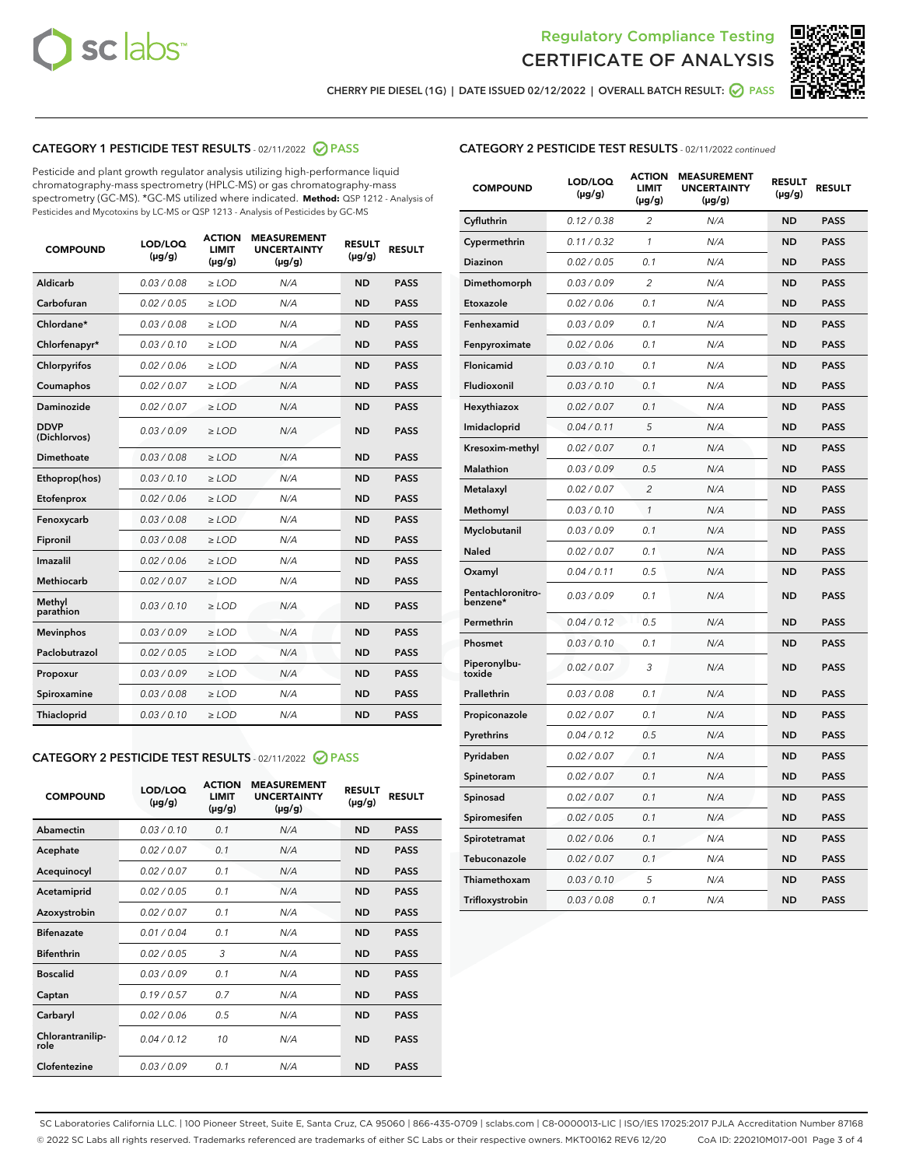



**CHERRY PIE DIESEL (1G) | DATE ISSUED 02/12/2022 | OVERALL BATCH RESULT: PASS**

# **CATEGORY 1 PESTICIDE TEST RESULTS** - 02/11/2022 **PASS**

Pesticide and plant growth regulator analysis utilizing high-performance liquid chromatography-mass spectrometry (HPLC-MS) or gas chromatography-mass spectrometry (GC-MS). \*GC-MS utilized where indicated. **Method:** QSP 1212 - Analysis of Pesticides and Mycotoxins by LC-MS or QSP 1213 - Analysis of Pesticides by GC-MS

| <b>COMPOUND</b>             | LOD/LOQ<br>$(\mu g/g)$ | <b>ACTION</b><br><b>LIMIT</b><br>$(\mu g/g)$ | <b>MEASUREMENT</b><br><b>UNCERTAINTY</b><br>$(\mu g/g)$ | <b>RESULT</b><br>$(\mu g/g)$ | <b>RESULT</b> |
|-----------------------------|------------------------|----------------------------------------------|---------------------------------------------------------|------------------------------|---------------|
| Aldicarb                    | 0.03 / 0.08            | $\ge$ LOD                                    | N/A                                                     | <b>ND</b>                    | <b>PASS</b>   |
| Carbofuran                  | 0.02 / 0.05            | $\ge$ LOD                                    | N/A                                                     | <b>ND</b>                    | <b>PASS</b>   |
| Chlordane*                  | 0.03 / 0.08            | $\ge$ LOD                                    | N/A                                                     | <b>ND</b>                    | <b>PASS</b>   |
| Chlorfenapyr*               | 0.03/0.10              | $\ge$ LOD                                    | N/A                                                     | <b>ND</b>                    | <b>PASS</b>   |
| Chlorpyrifos                | 0.02/0.06              | $>$ LOD                                      | N/A                                                     | <b>ND</b>                    | <b>PASS</b>   |
| Coumaphos                   | 0.02 / 0.07            | $\ge$ LOD                                    | N/A                                                     | <b>ND</b>                    | <b>PASS</b>   |
| Daminozide                  | 0.02/0.07              | $>$ LOD                                      | N/A                                                     | <b>ND</b>                    | <b>PASS</b>   |
| <b>DDVP</b><br>(Dichlorvos) | 0.03/0.09              | $\ge$ LOD                                    | N/A                                                     | <b>ND</b>                    | <b>PASS</b>   |
| <b>Dimethoate</b>           | 0.03/0.08              | $\ge$ LOD                                    | N/A                                                     | <b>ND</b>                    | <b>PASS</b>   |
| Ethoprop(hos)               | 0.03/0.10              | $\ge$ LOD                                    | N/A                                                     | <b>ND</b>                    | <b>PASS</b>   |
| Etofenprox                  | 0.02 / 0.06            | $\ge$ LOD                                    | N/A                                                     | <b>ND</b>                    | <b>PASS</b>   |
| Fenoxycarb                  | 0.03 / 0.08            | $\geq$ LOD                                   | N/A                                                     | <b>ND</b>                    | <b>PASS</b>   |
| Fipronil                    | 0.03 / 0.08            | $\ge$ LOD                                    | N/A                                                     | <b>ND</b>                    | <b>PASS</b>   |
| Imazalil                    | 0.02 / 0.06            | $\ge$ LOD                                    | N/A                                                     | <b>ND</b>                    | <b>PASS</b>   |
| Methiocarb                  | 0.02 / 0.07            | $\ge$ LOD                                    | N/A                                                     | <b>ND</b>                    | <b>PASS</b>   |
| Methyl<br>parathion         | 0.03/0.10              | $\geq$ LOD                                   | N/A                                                     | <b>ND</b>                    | <b>PASS</b>   |
| <b>Mevinphos</b>            | 0.03/0.09              | $\geq$ LOD                                   | N/A                                                     | <b>ND</b>                    | <b>PASS</b>   |
| Paclobutrazol               | 0.02 / 0.05            | $\geq$ LOD                                   | N/A                                                     | <b>ND</b>                    | <b>PASS</b>   |
| Propoxur                    | 0.03/0.09              | $>$ LOD                                      | N/A                                                     | <b>ND</b>                    | <b>PASS</b>   |
| Spiroxamine                 | 0.03 / 0.08            | $\ge$ LOD                                    | N/A                                                     | <b>ND</b>                    | <b>PASS</b>   |
| Thiacloprid                 | 0.03/0.10              | $\geq$ LOD                                   | N/A                                                     | <b>ND</b>                    | <b>PASS</b>   |
|                             |                        |                                              |                                                         |                              |               |

## **CATEGORY 2 PESTICIDE TEST RESULTS** - 02/11/2022 **PASS**

| <b>COMPOUND</b>          | LOD/LOO<br>$(\mu g/g)$ | <b>ACTION</b><br><b>LIMIT</b><br>$(\mu g/g)$ | <b>MEASUREMENT</b><br><b>UNCERTAINTY</b><br>$(\mu g/g)$ | <b>RESULT</b><br>$(\mu g/g)$ | <b>RESULT</b> |
|--------------------------|------------------------|----------------------------------------------|---------------------------------------------------------|------------------------------|---------------|
| Abamectin                | 0.03/0.10              | 0.1                                          | N/A                                                     | <b>ND</b>                    | <b>PASS</b>   |
| Acephate                 | 0.02/0.07              | 0.1                                          | N/A                                                     | <b>ND</b>                    | <b>PASS</b>   |
| Acequinocyl              | 0.02/0.07              | 0.1                                          | N/A                                                     | <b>ND</b>                    | <b>PASS</b>   |
| Acetamiprid              | 0.02/0.05              | 0.1                                          | N/A                                                     | <b>ND</b>                    | <b>PASS</b>   |
| Azoxystrobin             | 0.02/0.07              | 0.1                                          | N/A                                                     | <b>ND</b>                    | <b>PASS</b>   |
| <b>Bifenazate</b>        | 0.01/0.04              | 0.1                                          | N/A                                                     | <b>ND</b>                    | <b>PASS</b>   |
| <b>Bifenthrin</b>        | 0.02/0.05              | 3                                            | N/A                                                     | <b>ND</b>                    | <b>PASS</b>   |
| <b>Boscalid</b>          | 0.03/0.09              | 0.1                                          | N/A                                                     | <b>ND</b>                    | <b>PASS</b>   |
| Captan                   | 0.19/0.57              | 0.7                                          | N/A                                                     | <b>ND</b>                    | <b>PASS</b>   |
| Carbaryl                 | 0.02/0.06              | 0.5                                          | N/A                                                     | <b>ND</b>                    | <b>PASS</b>   |
| Chlorantranilip-<br>role | 0.04/0.12              | 10                                           | N/A                                                     | <b>ND</b>                    | <b>PASS</b>   |
| Clofentezine             | 0.03/0.09              | 0.1                                          | N/A                                                     | <b>ND</b>                    | <b>PASS</b>   |

| <b>COMPOUND</b>               | LOD/LOQ<br>(µg/g) | ACTION<br><b>LIMIT</b><br>$(\mu g/g)$ | <b>MEASUREMENT</b><br><b>UNCERTAINTY</b><br>(µg/g) | <b>RESULT</b><br>(µg/g) | <b>RESULT</b> |
|-------------------------------|-------------------|---------------------------------------|----------------------------------------------------|-------------------------|---------------|
| Cyfluthrin                    | 0.12 / 0.38       | $\overline{2}$                        | N/A                                                | <b>ND</b>               | <b>PASS</b>   |
| Cypermethrin                  | 0.11 / 0.32       | $\mathbf{1}$                          | N/A                                                | <b>ND</b>               | <b>PASS</b>   |
| Diazinon                      | 0.02 / 0.05       | 0.1                                   | N/A                                                | <b>ND</b>               | <b>PASS</b>   |
| Dimethomorph                  | 0.03 / 0.09       | 2                                     | N/A                                                | ND                      | <b>PASS</b>   |
| Etoxazole                     | 0.02 / 0.06       | 0.1                                   | N/A                                                | <b>ND</b>               | <b>PASS</b>   |
| Fenhexamid                    | 0.03 / 0.09       | 0.1                                   | N/A                                                | <b>ND</b>               | <b>PASS</b>   |
| Fenpyroximate                 | 0.02 / 0.06       | 0.1                                   | N/A                                                | ND                      | <b>PASS</b>   |
| Flonicamid                    | 0.03 / 0.10       | 0.1                                   | N/A                                                | <b>ND</b>               | <b>PASS</b>   |
| Fludioxonil                   | 0.03 / 0.10       | 0.1                                   | N/A                                                | <b>ND</b>               | <b>PASS</b>   |
| Hexythiazox                   | 0.02 / 0.07       | 0.1                                   | N/A                                                | <b>ND</b>               | <b>PASS</b>   |
| Imidacloprid                  | 0.04 / 0.11       | 5                                     | N/A                                                | <b>ND</b>               | <b>PASS</b>   |
| Kresoxim-methyl               | 0.02 / 0.07       | 0.1                                   | N/A                                                | <b>ND</b>               | <b>PASS</b>   |
| <b>Malathion</b>              | 0.03/0.09         | 0.5                                   | N/A                                                | ND                      | <b>PASS</b>   |
| Metalaxyl                     | 0.02 / 0.07       | $\overline{c}$                        | N/A                                                | <b>ND</b>               | <b>PASS</b>   |
| Methomyl                      | 0.03 / 0.10       | $\mathcal{I}$                         | N/A                                                | <b>ND</b>               | <b>PASS</b>   |
| Myclobutanil                  | 0.03 / 0.09       | 0.1                                   | N/A                                                | <b>ND</b>               | <b>PASS</b>   |
| <b>Naled</b>                  | 0.02 / 0.07       | 0.1                                   | N/A                                                | <b>ND</b>               | <b>PASS</b>   |
| Oxamyl                        | 0.04 / 0.11       | 0.5                                   | N/A                                                | <b>ND</b>               | <b>PASS</b>   |
| Pentachloronitro-<br>benzene* | 0.03 / 0.09       | 0.1                                   | N/A                                                | <b>ND</b>               | <b>PASS</b>   |
| Permethrin                    | 0.04 / 0.12       | 0.5                                   | N/A                                                | <b>ND</b>               | <b>PASS</b>   |
| Phosmet                       | 0.03/0.10         | 0.1                                   | N/A                                                | <b>ND</b>               | <b>PASS</b>   |
| Piperonylbu-<br>toxide        | 0.02 / 0.07       | 3                                     | N/A                                                | <b>ND</b>               | <b>PASS</b>   |
| Prallethrin                   | 0.03 / 0.08       | 0.1                                   | N/A                                                | <b>ND</b>               | <b>PASS</b>   |
| Propiconazole                 | 0.02 / 0.07       | 0.1                                   | N/A                                                | <b>ND</b>               | <b>PASS</b>   |
| Pyrethrins                    | 0.04 / 0.12       | 0.5                                   | N/A                                                | <b>ND</b>               | <b>PASS</b>   |
| Pyridaben                     | 0.02 / 0.07       | 0.1                                   | N/A                                                | <b>ND</b>               | <b>PASS</b>   |
| Spinetoram                    | 0.02 / 0.07       | 0.1                                   | N/A                                                | <b>ND</b>               | <b>PASS</b>   |
| Spinosad                      | 0.02 / 0.07       | 0.1                                   | N/A                                                | <b>ND</b>               | <b>PASS</b>   |
| Spiromesifen                  | 0.02 / 0.05       | 0.1                                   | N/A                                                | ND                      | <b>PASS</b>   |
| Spirotetramat                 | 0.02 / 0.06       | 0.1                                   | N/A                                                | ND                      | <b>PASS</b>   |
| Tebuconazole                  | 0.02 / 0.07       | 0.1                                   | N/A                                                | <b>ND</b>               | <b>PASS</b>   |
| Thiamethoxam                  | 0.03 / 0.10       | 5                                     | N/A                                                | ND                      | <b>PASS</b>   |
| Trifloxystrobin               | 0.03 / 0.08       | 0.1                                   | N/A                                                | ND                      | <b>PASS</b>   |

SC Laboratories California LLC. | 100 Pioneer Street, Suite E, Santa Cruz, CA 95060 | 866-435-0709 | sclabs.com | C8-0000013-LIC | ISO/IES 17025:2017 PJLA Accreditation Number 87168 © 2022 SC Labs all rights reserved. Trademarks referenced are trademarks of either SC Labs or their respective owners. MKT00162 REV6 12/20 CoA ID: 220210M017-001 Page 3 of 4